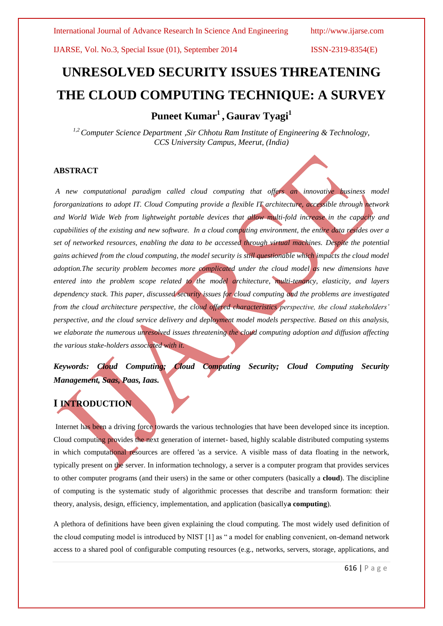# **UNRESOLVED SECURITY ISSUES THREATENING THE CLOUD COMPUTING TECHNIQUE: A SURVEY Puneet Kumar<sup>1</sup> , Gaurav Tyagi<sup>1</sup>**

*1,2 Computer Science Department ,Sir Chhotu Ram Institute of Engineering & Technology, CCS University Campus, Meerut, (India)*

### **ABSTRACT**

*A new computational paradigm called cloud computing that offers an innovative business model fororganizations to adopt IT. Cloud Computing provide a flexible IT architecture, accessible through network and World Wide Web from lightweight portable devices that allow multi-fold increase in the capacity and capabilities of the existing and new software. In a cloud computing environment, the entire data resides over a set of networked resources, enabling the data to be accessed through virtual machines. Despite the potential gains achieved from the cloud computing, the model security is still questionable which impacts the cloud model adoption.The security problem becomes more complicated under the cloud model as new dimensions have entered into the problem scope related to the model architecture, multi-tenancy, elasticity, and layers dependency stack. This paper, discussed security issues for cloud computing and the problems are investigated from the cloud architecture perspective, the cloud offered characteristics perspective, the cloud stakeholders' perspective, and the cloud service delivery and deployment model models perspective. Based on this analysis, we elaborate the numerous unresolved issues threatening the cloud computing adoption and diffusion affecting the various stake-holders associated with it.* 

*Keywords: Cloud Computing; Cloud Computing Security; Cloud Computing Security Management, Saas, Paas, Iaas.*

## **I INTRODUCTION**

Internet has been a driving force towards the various technologies that have been developed since its inception. Cloud computing provides the next generation of internet- based, highly scalable distributed computing systems in which computational resources are offered 'as a service. A visible mass of data floating in the network, typically present on the server. In information technology, a server is a computer program that provides services to other computer programs (and their users) in the same or other computers (basically a **cloud**). The discipline of computing is the systematic study of algorithmic processes that describe and transform formation: their theory, analysis, design, efficiency, implementation, and application (basically**a computing**).

A plethora of definitions have been given explaining the cloud computing. The most widely used definition of the cloud computing model is introduced by NIST [1] as " a model for enabling convenient, on-demand network access to a shared pool of configurable computing resources (e.g., networks, servers, storage, applications, and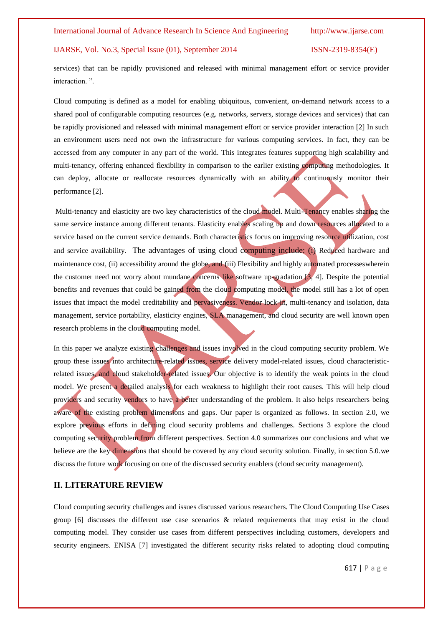services) that can be rapidly provisioned and released with minimal management effort or service provider interaction. ".

Cloud computing is defined as a model for enabling ubiquitous, convenient, on-demand network access to a shared pool of configurable computing resources (e.g. networks, servers, storage devices and services) that can be rapidly provisioned and released with minimal management effort or service provider interaction [2] In such an environment users need not own the infrastructure for various computing services. In fact, they can be accessed from any computer in any part of the world. This integrates features supporting high scalability and multi-tenancy, offering enhanced flexibility in comparison to the earlier existing computing methodologies. It can deploy, allocate or reallocate resources dynamically with an ability to continuously monitor their performance [2].

Multi-tenancy and elasticity are two key characteristics of the cloud model. Multi-Tenancy enables sharing the same service instance among different tenants. Elasticity enables scaling up and down resources allocated to a service based on the current service demands. Both characteristics focus on improving resource utilization, cost and service availability. The advantages of using cloud computing include: (i) Reduced hardware and maintenance cost, (ii) accessibility around the globe, and (iii) Flexibility and highly automated processeswherein the customer need not worry about mundane concerns like software up-gradation [3, 4]. Despite the potential benefits and revenues that could be gained from the cloud computing model, the model still has a lot of open issues that impact the model creditability and pervasiveness. Vendor lock-in, multi-tenancy and isolation, data management, service portability, elasticity engines, SLA management, and cloud security are well known open research problems in the cloud computing model.

In this paper we analyze existing challenges and issues involved in the cloud computing security problem. We group these issues into architecture-related issues, service delivery model-related issues, cloud characteristicrelated issues, and cloud stakeholder-related issues. Our objective is to identify the weak points in the cloud model. We present a detailed analysis for each weakness to highlight their root causes. This will help cloud providers and security vendors to have a better understanding of the problem. It also helps researchers being aware of the existing problem dimensions and gaps. Our paper is organized as follows. In section 2.0, we explore previous efforts in defining cloud security problems and challenges. Sections 3 explore the cloud computing security problem from different perspectives. Section 4.0 summarizes our conclusions and what we believe are the key dimensions that should be covered by any cloud security solution. Finally, in section 5.0.we discuss the future work focusing on one of the discussed security enablers (cloud security management).

### **II. LITERATURE REVIEW**

Cloud computing security challenges and issues discussed various researchers. The Cloud Computing Use Cases group [6] discusses the different use case scenarios & related requirements that may exist in the cloud computing model. They consider use cases from different perspectives including customers, developers and security engineers. ENISA [7] investigated the different security risks related to adopting cloud computing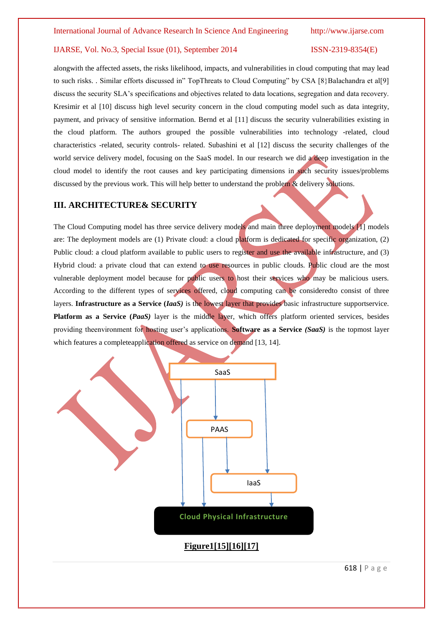alongwith the affected assets, the risks likelihood, impacts, and vulnerabilities in cloud computing that may lead to such risks. . Similar efforts discussed in" TopThreats to Cloud Computing" by CSA [8}Balachandra et al[9] discuss the security SLA's specifications and objectives related to data locations, segregation and data recovery. Kresimir et al [10] discuss high level security concern in the cloud computing model such as data integrity, payment, and privacy of sensitive information. Bernd et al [11] discuss the security vulnerabilities existing in the cloud platform. The authors grouped the possible vulnerabilities into technology -related, cloud characteristics -related, security controls- related. Subashini et al [12] discuss the security challenges of the world service delivery model, focusing on the SaaS model. In our research we did a deep investigation in the cloud model to identify the root causes and key participating dimensions in such security issues/problems discussed by the previous work. This will help better to understand the problem & delivery solutions.

### **III. ARCHITECTURE& SECURITY**

The Cloud Computing model has three service delivery models and main three deployment models [1] models are: The deployment models are (1) Private cloud: a cloud platform is dedicated for specific organization, (2) Public cloud: a cloud platform available to public users to register and use the available infrastructure, and (3) Hybrid cloud: a private cloud that can extend to use resources in public clouds. Public cloud are the most vulnerable deployment model because for public users to host their services who may be malicious users. According to the different types of services offered, cloud computing can be consideredto consist of three layers. **Infrastructure as a Service (***IaaS)* is the lowest layer that provides basic infrastructure supportservice. **Platform as a Service (***PaaS)* layer is the middle layer, which offers platform oriented services, besides providing theenvironment for hosting user's applications. **Software as a Service** *(SaaS)* is the topmost layer which features a completeapplication offered as service on demand [13, 14].

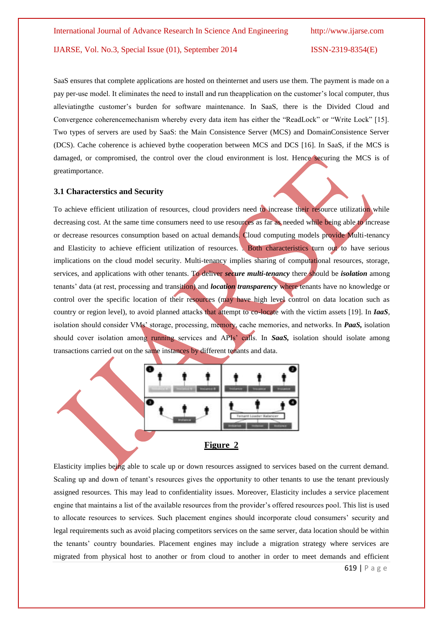SaaS ensures that complete applications are hosted on theinternet and users use them. The payment is made on a pay per-use model. It eliminates the need to install and run theapplication on the customer's local computer, thus alleviatingthe customer's burden for software maintenance. In SaaS, there is the Divided Cloud and Convergence coherencemechanism whereby every data item has either the "ReadLock" or "Write Lock" [15]. Two types of servers are used by SaaS: the Main Consistence Server (MCS) and DomainConsistence Server (DCS). Cache coherence is achieved bythe cooperation between MCS and DCS [16]. In SaaS, if the MCS is damaged, or compromised, the control over the cloud environment is lost. Hence securing the MCS is of greatimportance.

### **3.1 Characterstics and Security**

To achieve efficient utilization of resources, cloud providers need to increase their resource utilization while decreasing cost. At the same time consumers need to use resources as far as needed while being able to increase or decrease resources consumption based on actual demands. Cloud computing models provide Multi-tenancy and Elasticity to achieve efficient utilization of resources. . Both characteristics turn out to have serious implications on the cloud model security. Multi-tenancy implies sharing of computational resources, storage, services, and applications with other tenants. To deliver *secure multi-tenancy* there should be *isolation* among tenants' data (at rest, processing and transition) and *location transparency* where tenants have no knowledge or control over the specific location of their resources (may have high level control on data location such as country or region level), to avoid planned attacks that attempt to co-locate with the victim assets [19]. In *IaaS*, isolation should consider VMs' storage, processing, memory, cache memories, and networks. In *PaaS,* isolation should cover isolation among running services and APIs' calls. In *SaaS,* isolation should isolate among transactions carried out on the same instances by different tenants and data.



Elasticity implies being able to scale up or down resources assigned to services based on the current demand. Scaling up and down of tenant's resources gives the opportunity to other tenants to use the tenant previously assigned resources. This may lead to confidentiality issues. Moreover, Elasticity includes a service placement engine that maintains a list of the available resources from the provider's offered resources pool. This list is used to allocate resources to services. Such placement engines should incorporate cloud consumers' security and legal requirements such as avoid placing competitors services on the same server, data location should be within the tenants' country boundaries. Placement engines may include a migration strategy where services are migrated from physical host to another or from cloud to another in order to meet demands and efficient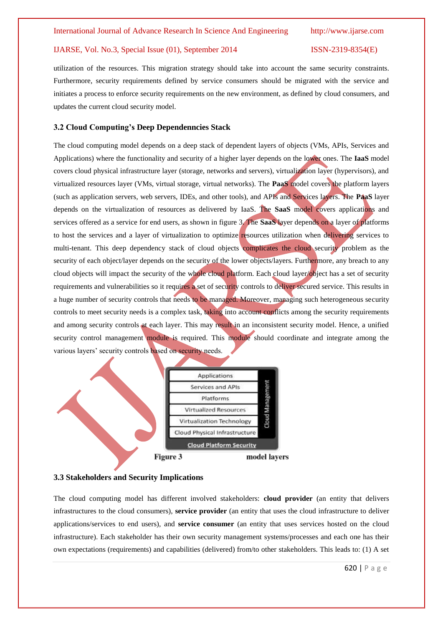utilization of the resources. This migration strategy should take into account the same security constraints. Furthermore, security requirements defined by service consumers should be migrated with the service and initiates a process to enforce security requirements on the new environment, as defined by cloud consumers, and updates the current cloud security model.

### **3.2 Cloud Computing's Deep Dependenncies Stack**

The cloud computing model depends on a deep stack of dependent layers of objects (VMs, APIs, Services and Applications) where the functionality and security of a higher layer depends on the lower ones. The **IaaS** model covers cloud physical infrastructure layer (storage, networks and servers), virtualization layer (hypervisors), and virtualized resources layer (VMs, virtual storage, virtual networks). The **PaaS** model covers the platform layers (such as application servers, web servers, IDEs, and other tools), and APIs and Services layers. The **PaaS** layer depends on the virtualization of resources as delivered by IaaS. The **SaaS** model covers applications and services offered as a service for end users, as shown in figure 3. The **SaaS** layer depends on a layer of platforms to host the services and a layer of virtualization to optimize resources utilization when delivering services to multi-tenant. This deep dependency stack of cloud objects complicates the cloud security problem as the security of each object/layer depends on the security of the lower objects/layers. Furthermore, any breach to any cloud objects will impact the security of the whole cloud platform. Each cloud layer/object has a set of security requirements and vulnerabilities so it requires a set of security controls to deliver secured service. This results in a huge number of security controls that needs to be managed. Moreover, managing such heterogeneous security controls to meet security needs is a complex task, taking into account conflicts among the security requirements and among security controls at each layer. This may result in an inconsistent security model. Hence, a unified security control management module is required. This module should coordinate and integrate among the various layers' security controls based on security needs.



### **3.3 Stakeholders and Security Implications**

The cloud computing model has different involved stakeholders: **cloud provider** (an entity that delivers infrastructures to the cloud consumers), **service provider** (an entity that uses the cloud infrastructure to deliver applications/services to end users), and **service consumer** (an entity that uses services hosted on the cloud infrastructure). Each stakeholder has their own security management systems/processes and each one has their own expectations (requirements) and capabilities (delivered) from/to other stakeholders. This leads to: (1) A set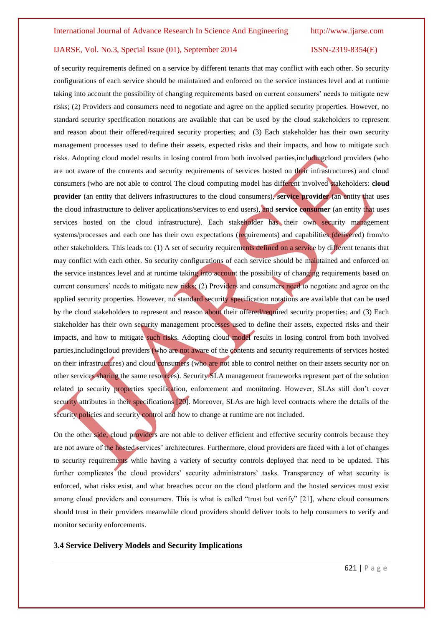of security requirements defined on a service by different tenants that may conflict with each other. So security configurations of each service should be maintained and enforced on the service instances level and at runtime taking into account the possibility of changing requirements based on current consumers' needs to mitigate new risks; (2) Providers and consumers need to negotiate and agree on the applied security properties. However, no standard security specification notations are available that can be used by the cloud stakeholders to represent and reason about their offered/required security properties; and (3) Each stakeholder has their own security management processes used to define their assets, expected risks and their impacts, and how to mitigate such risks. Adopting cloud model results in losing control from both involved parties,includingcloud providers (who are not aware of the contents and security requirements of services hosted on their infrastructures) and cloud consumers (who are not able to control The cloud computing model has different involved stakeholders: **cloud provider** (an entity that delivers infrastructures to the cloud consumers), **service provider** (an entity that uses the cloud infrastructure to deliver applications/services to end users), and **service consumer** (an entity that uses services hosted on the cloud infrastructure). Each stakeholder has their own security management systems/processes and each one has their own expectations (requirements) and capabilities (delivered) from/to other stakeholders. This leads to: (1) A set of security requirements defined on a service by different tenants that may conflict with each other. So security configurations of each service should be maintained and enforced on the service instances level and at runtime taking into account the possibility of changing requirements based on current consumers' needs to mitigate new risks; (2) Providers and consumers need to negotiate and agree on the applied security properties. However, no standard security specification notations are available that can be used by the cloud stakeholders to represent and reason about their offered/required security properties; and (3) Each stakeholder has their own security management processes used to define their assets, expected risks and their impacts, and how to mitigate such risks. Adopting cloud model results in losing control from both involved parties,includingcloud providers (who are not aware of the contents and security requirements of services hosted on their infrastructures) and cloud consumers (who are not able to control neither on their assets security nor on other services sharing the same resources). Security SLA management frameworks represent part of the solution related to security properties specification, enforcement and monitoring. However, SLAs still don't cover security attributes in their specifications [20]. Moreover, SLAs are high level contracts where the details of the security policies and security control and how to change at runtime are not included.

On the other side, cloud providers are not able to deliver efficient and effective security controls because they are not aware of the hosted services' architectures. Furthermore, cloud providers are faced with a lot of changes to security requirements while having a variety of security controls deployed that need to be updated. This further complicates the cloud providers' security administrators' tasks. Transparency of what security is enforced, what risks exist, and what breaches occur on the cloud platform and the hosted services must exist among cloud providers and consumers. This is what is called "trust but verify" [21], where cloud consumers should trust in their providers meanwhile cloud providers should deliver tools to help consumers to verify and monitor security enforcements.

### **3.4 Service Delivery Models and Security Implications**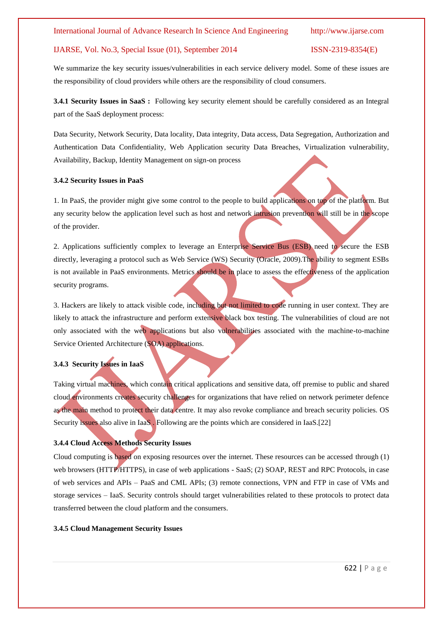We summarize the key security issues/vulnerabilities in each service delivery model. Some of these issues are the responsibility of cloud providers while others are the responsibility of cloud consumers.

**3.4.1 Security Issues in SaaS :** Following key security element should be carefully considered as an Integral part of the SaaS deployment process:

Data Security, Network Security, Data locality, Data integrity, Data access, Data Segregation, Authorization and Authentication Data Confidentiality, Web Application security Data Breaches, Virtualization vulnerability, Availability, Backup, Identity Management on sign-on process

#### **3.4.2 Security Issues in PaaS**

1. In PaaS, the provider might give some control to the people to build applications on top of the platform. But any security below the application level such as host and network intrusion prevention will still be in the scope of the provider.

2. Applications sufficiently complex to leverage an Enterprise Service Bus (ESB) need to secure the ESB directly, leveraging a protocol such as Web Service (WS) Security (Oracle, 2009). The ability to segment ESBs is not available in PaaS environments. Metrics should be in place to assess the effectiveness of the application security programs.

3. Hackers are likely to attack visible code, including but not limited to code running in user context. They are likely to attack the infrastructure and perform extensive black box testing. The vulnerabilities of cloud are not only associated with the web applications but also vulnerabilities associated with the machine-to-machine Service Oriented Architecture (SOA) applications.

### **3.4.3 Security Issues in IaaS**

Taking virtual machines, which contain critical applications and sensitive data, off premise to public and shared cloud environments creates security challenges for organizations that have relied on network perimeter defence as the main method to protect their data centre. It may also revoke compliance and breach security policies. OS Security issues also alive in IaaS . Following are the points which are considered in IaaS.[22]

### **3.4.4 Cloud Access Methods Security Issues**

Cloud computing is based on exposing resources over the internet. These resources can be accessed through (1) web browsers (HTTP/HTTPS), in case of web applications - SaaS; (2) SOAP, REST and RPC Protocols, in case of web services and APIs – PaaS and CML APIs; (3) remote connections, VPN and FTP in case of VMs and storage services – IaaS. Security controls should target vulnerabilities related to these protocols to protect data transferred between the cloud platform and the consumers.

#### **3.4.5 Cloud Management Security Issues**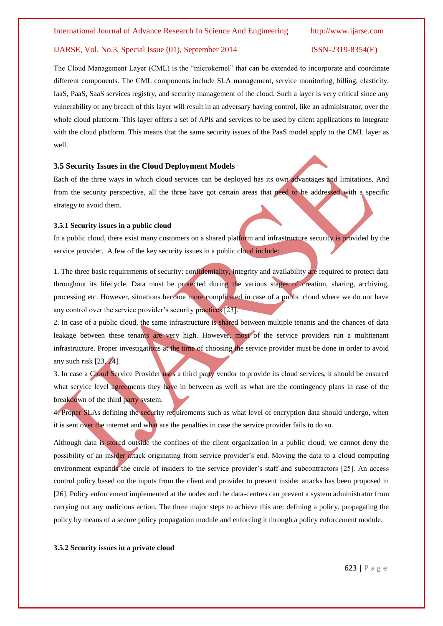The Cloud Management Layer (CML) is the "microkernel" that can be extended to incorporate and coordinate different components. The CML components include SLA management, service monitoring, billing, elasticity, IaaS, PaaS, SaaS services registry, and security management of the cloud. Such a layer is very critical since any vulnerability or any breach of this layer will result in an adversary having control, like an administrator, over the whole cloud platform. This layer offers a set of APIs and services to be used by client applications to integrate with the cloud platform. This means that the same security issues of the PaaS model apply to the CML layer as well.

### **3.5 Security Issues in the Cloud Deployment Models**

Each of the three ways in which cloud services can be deployed has its own advantages and limitations. And from the security perspective, all the three have got certain areas that need to be addressed with a specific strategy to avoid them.

### **3.5.1 Security issues in a public cloud**

In a public cloud, there exist many customers on a shared platform and infrastructure security is provided by the service provider. A few of the key security issues in a public cloud include:

1. The three basic requirements of security: confidentiality, integrity and availability are required to protect data throughout its lifecycle. Data must be protected during the various stages of creation, sharing, archiving, processing etc. However, situations become more complicated in case of a public cloud where we do not have any control over the service provider's security practices [23].

2. In case of a public cloud, the same infrastructure is shared between multiple tenants and the chances of data leakage between these tenants are very high. However, most of the service providers run a multitenant infrastructure. Proper investigations at the time of choosing the service provider must be done in order to avoid any such risk [23, 24].

3. In case a Cloud Service Provider uses a third party vendor to provide its cloud services, it should be ensured what service level agreements they have in between as well as what are the contingency plans in case of the breakdown of the third party system.

4. Proper SLAs defining the security requirements such as what level of encryption data should undergo, when it is sent over the internet and what are the penalties in case the service provider fails to do so.

Although data is stored outside the confines of the client organization in a public cloud, we cannot deny the possibility of an insider attack originating from service provider's end. Moving the data to a cloud computing environment expands the circle of insiders to the service provider's staff and subcontractors [25]. An access control policy based on the inputs from the client and provider to prevent insider attacks has been proposed in [26]. Policy enforcement implemented at the nodes and the data-centres can prevent a system administrator from carrying out any malicious action. The three major steps to achieve this are: defining a policy, propagating the policy by means of a secure policy propagation module and enforcing it through a policy enforcement module.

#### **3.5.2 Security issues in a private cloud**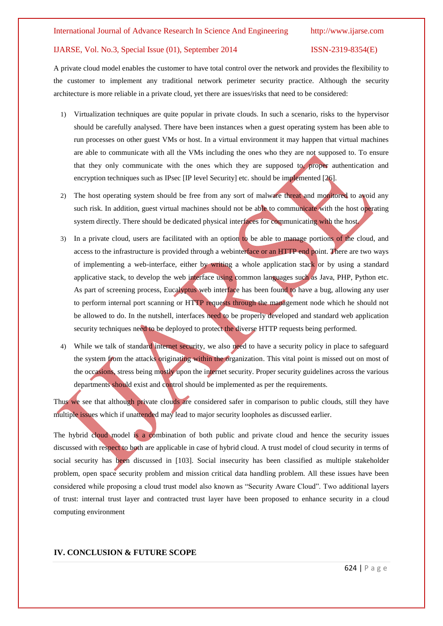A private cloud model enables the customer to have total control over the network and provides the flexibility to the customer to implement any traditional network perimeter security practice. Although the security architecture is more reliable in a private cloud, yet there are issues/risks that need to be considered:

- 1) Virtualization techniques are quite popular in private clouds. In such a scenario, risks to the hypervisor should be carefully analysed. There have been instances when a guest operating system has been able to run processes on other guest VMs or host. In a virtual environment it may happen that virtual machines are able to communicate with all the VMs including the ones who they are not supposed to. To ensure that they only communicate with the ones which they are supposed to, proper authentication and encryption techniques such as IPsec [IP level Security] etc. should be implemented [26].
- 2) The host operating system should be free from any sort of malware threat and monitored to avoid any such risk. In addition, guest virtual machines should not be able to communicate with the host operating system directly. There should be dedicated physical interfaces for communicating with the host.
- 3) In a private cloud, users are facilitated with an option to be able to manage portions of the cloud, and access to the infrastructure is provided through a webinterface or an HTTP end point. There are two ways of implementing a web-interface, either by writing a whole application stack or by using a standard applicative stack, to develop the web interface using common languages such as Java, PHP, Python etc. As part of screening process, Eucalyptus web interface has been found to have a bug, allowing any user to perform internal port scanning or HTTP requests through the management node which he should not be allowed to do. In the nutshell, interfaces need to be properly developed and standard web application security techniques need to be deployed to protect the diverse HTTP requests being performed.
- 4) While we talk of standard internet security, we also need to have a security policy in place to safeguard the system from the attacks originating within the organization. This vital point is missed out on most of the occasions, stress being mostly upon the internet security. Proper security guidelines across the various departments should exist and control should be implemented as per the requirements.

Thus we see that although private clouds are considered safer in comparison to public clouds, still they have multiple issues which if unattended may lead to major security loopholes as discussed earlier.

The hybrid cloud model is a combination of both public and private cloud and hence the security issues discussed with respect to both are applicable in case of hybrid cloud. A trust model of cloud security in terms of social security has been discussed in [103]. Social insecurity has been classified as multiple stakeholder problem, open space security problem and mission critical data handling problem. All these issues have been considered while proposing a cloud trust model also known as "Security Aware Cloud". Two additional layers of trust: internal trust layer and contracted trust layer have been proposed to enhance security in a cloud computing environment

#### **IV. CONCLUSION & FUTURE SCOPE**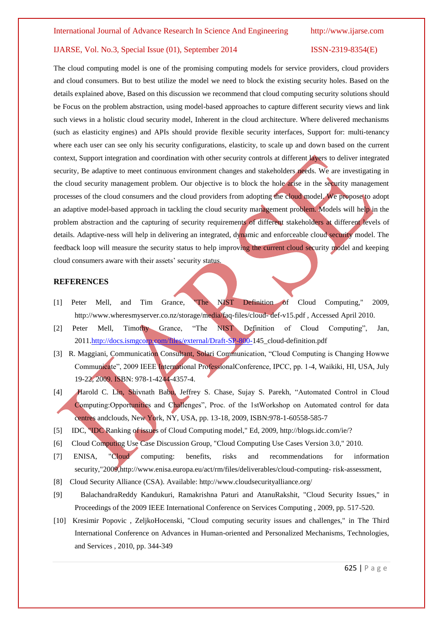The cloud computing model is one of the promising computing models for service providers, cloud providers and cloud consumers. But to best utilize the model we need to block the existing security holes. Based on the details explained above, Based on this discussion we recommend that cloud computing security solutions should be Focus on the problem abstraction, using model-based approaches to capture different security views and link such views in a holistic cloud security model, Inherent in the cloud architecture. Where delivered mechanisms (such as elasticity engines) and APIs should provide flexible security interfaces, Support for: multi-tenancy where each user can see only his security configurations, elasticity, to scale up and down based on the current context, Support integration and coordination with other security controls at different layers to deliver integrated security, Be adaptive to meet continuous environment changes and stakeholders needs. We are investigating in the cloud security management problem. Our objective is to block the hole arise in the security management processes of the cloud consumers and the cloud providers from adopting the cloud model. We propose to adopt an adaptive model-based approach in tackling the cloud security management problem. Models will help in the problem abstraction and the capturing of security requirements of different stakeholders at different levels of details. Adaptive-ness will help in delivering an integrated, dynamic and enforceable cloud security model. The feedback loop will measure the security status to help improving the current cloud security model and keeping cloud consumers aware with their assets' security status.

### **REFERENCES**

- [1] Peter Mell, and Tim Grance, "The NIST Definition of Cloud Computing," 2009, http://www.wheresmyserver.co.nz/storage/media/faq-files/cloud- def-v15.pdf , Accessed April 2010.
- [2] Peter Mell, Timothy Grance, "The NIST Definition of Cloud Computing", Jan, 2011[.http://docs.ismgcorp.com/files/external/Draft-SP-800-1](http://docs.ismgcorp.com/files/external/Draft-SP-800-)45\_cloud-definition.pdf
- [3] R. Maggiani, Communication Consultant, Solari Communication, "Cloud Computing is Changing Howwe Communicate", 2009 IEEE International ProfessionalConference, IPCC, pp. 1-4, Waikiki, HI, USA, July 19-22, 2009. ISBN: 978-1-4244-4357-4.
- [4] Harold C. Lin, Shivnath Babu, Jeffrey S. Chase, Sujay S. Parekh, "Automated Control in Cloud Computing:Opportunities and Challenges", Proc. of the 1stWorkshop on Automated control for data centres andclouds, New York, NY, USA, pp. 13-18, 2009, ISBN:978-1-60558-585-7
- [5] IDC, "IDC Ranking of issues of Cloud Computing model," Ed, 2009, http://blogs.idc.com/ie/?
- [6] Cloud Computing Use Case Discussion Group, "Cloud Computing Use Cases Version 3.0," 2010.
- [7] ENISA, "Cloud computing: benefits, risks and recommendations for information security,"2009,http://www.enisa.europa.eu/act/rm/files/deliverables/cloud-computing- risk-assessment,
- [8] Cloud Security Alliance (CSA). Available: <http://www.cloudsecurityalliance.org/>
- [9] BalachandraReddy Kandukuri, Ramakrishna Paturi and AtanuRakshit, "Cloud Security Issues," in Proceedings of the 2009 IEEE International Conference on Services Computing , 2009, pp. 517-520.
- [10] Kresimir Popovic , ZeljkoHocenski, "Cloud computing security issues and challenges," in The Third International Conference on Advances in Human-oriented and Personalized Mechanisms, Technologies, and Services , 2010, pp. 344-349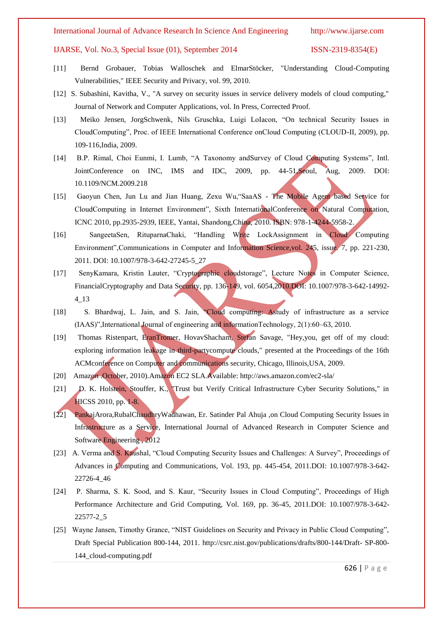#### International Journal of Advance Research In Science And Engineering http://www.ijarse.com

#### IJARSE, Vol. No.3, Special Issue (01), September 2014 ISSN-2319-8354(E)

- [11] Bernd Grobauer, Tobias Walloschek and ElmarStöcker, "Understanding Cloud-Computing Vulnerabilities," IEEE Security and Privacy, vol. 99, 2010.
- [12] S. Subashini, Kavitha, V., "A survey on security issues in service delivery models of cloud computing," Journal of Network and Computer Applications, vol. In Press, Corrected Proof.
- [13] Meiko Jensen, JorgSchwenk, Nils Gruschka, Luigi LoIacon, "On technical Security Issues in CloudComputing", Proc. of IEEE International Conference onCloud Computing (CLOUD-II, 2009), pp. 109-116,India, 2009.
- [14] B.P. Rimal, Choi Eunmi, I. Lumb, "A Taxonomy andSurvey of Cloud Computing Systems", Intl. JointConference on INC, IMS and IDC, 2009, pp. 44-51,Seoul, Aug, 2009. DOI: 10.1109/NCM.2009.218
- [15] Gaoyun Chen, Jun Lu and Jian Huang, Zexu Wu,"SaaAS The Mobile Agent based Service for CloudComputing in Internet Environment", Sixth InternationalConference on Natural Computation, ICNC 2010, pp.2935-2939, IEEE, Yantai, Shandong,China, 2010. ISBN: 978-1-4244-5958-2.
- [16] SangeetaSen, RituparnaChaki, "Handling Write LockAssignment in Cloud Computing Environment",Communications in Computer and Information Science,vol. 245, issue. 7, pp. 221-230, 2011. DOI: 10.1007/978-3-642-27245-5\_27
- [17] SenyKamara, Kristin Lauter, "Cryptographic cloudstorage", Lecture Notes in Computer Science, FinancialCryptography and Data Security, pp. 136-149, vol. 6054,2010.DOI: 10.1007/978-3-642-14992- 4\_13
- [18] S. Bhardwaj, L. Jain, and S. Jain, "Cloud computing: Astudy of infrastructure as a service (IAAS)",International Journal of engineering and informationTechnology, 2(1):60–63, 2010.
- [19] Thomas Ristenpart, EranTromer, HovavShacham, Stefan Savage, "Hey,you, get off of my cloud: exploring information leakage in third-partycompute clouds," presented at the Proceedings of the 16th ACMconference on Computer and communications security, Chicago, Illinois,USA, 2009.
- [20] Amazon .October, 2010).Amazon EC2 SLA.Available: http://aws.amazon.com/ec2-sla/
- [21] D. K. Holstein, Stouffer, K., "Trust but Verify Critical Infrastructure Cyber Security Solutions," in HICSS 2010, pp. 1-8.
- [22] PankajArora,RubalChaudhryWadhawan, Er. Satinder Pal Ahuja ,on Cloud Computing Security Issues in Infrastructure as a Service, International Journal of Advanced Research in Computer Science and Software Engineering , 2012
- [23] A. Verma and S. Kaushal, "Cloud Computing Security Issues and Challenges: A Survey", Proceedings of Advances in Computing and Communications, Vol. 193, pp. 445-454, 2011.DOI: 10.1007/978-3-642- 22726-4\_46
- [24] P. Sharma, S. K. Sood, and S. Kaur, "Security Issues in Cloud Computing", Proceedings of High Performance Architecture and Grid Computing, Vol. 169, pp. 36-45, 2011.DOI: 10.1007/978-3-642- 22577-2\_5
- [25] Wayne Jansen, Timothy Grance, "NIST Guidelines on Security and Privacy in Public Cloud Computing", Draft Special Publication 800-144, 2011. [http://csrc.nist.gov/publications/drafts/800-144/Draft-](http://csrc.nist.gov/publications/drafts/800-144/Draft-%20SP-800-144_cloud-computing.pdf) SP-800- [144\\_cloud-computing.pdf](http://csrc.nist.gov/publications/drafts/800-144/Draft-%20SP-800-144_cloud-computing.pdf)